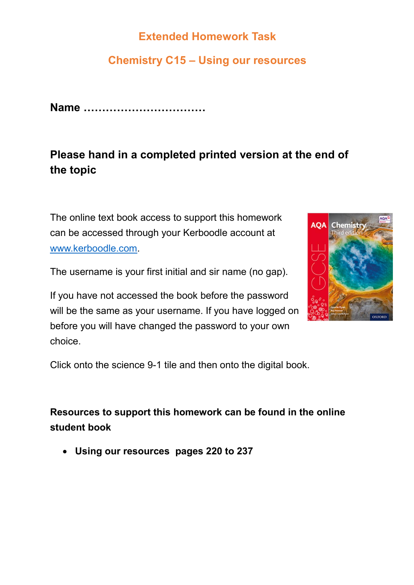### **Extended Homework Task**

## **Chemistry C15 – Using our resources**

**Name ……………………………**

# **Please hand in a completed printed version at the end of the topic**

The online text book access to support this homework can be accessed through your Kerboodle account at [www.kerboodle.com.](http://www.kerboodle.com/)

The username is your first initial and sir name (no gap).

If you have not accessed the book before the password will be the same as your username. If you have logged on before you will have changed the password to your own choice.



Click onto the science 9-1 tile and then onto the digital book.

**Resources to support this homework can be found in the online student book** 

**Using our resources pages 220 to 237**